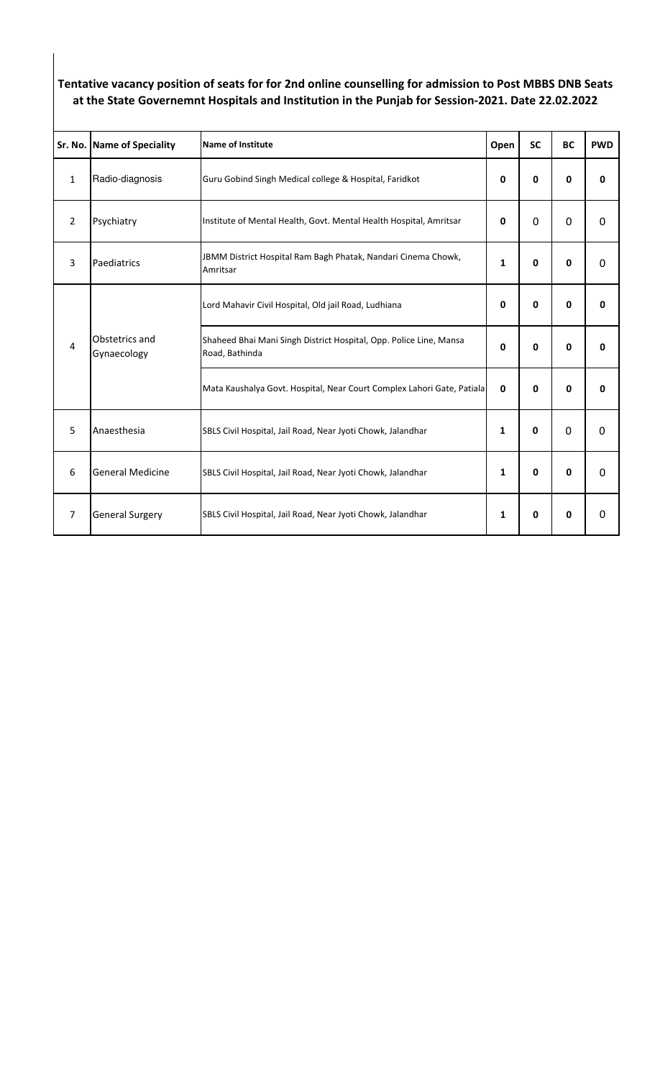## **Tentative vacancy position of seats for for 2nd online counselling for admission to Post MBBS DNB Seats at the State Governemnt Hospitals and Institution in the Punjab for Session-2021. Date 22.02.2022**

|                | Sr. No. Name of Speciality    | <b>Name of Institute</b>                                                             | Open         | <b>SC</b>    | <b>BC</b>    | <b>PWD</b>   |
|----------------|-------------------------------|--------------------------------------------------------------------------------------|--------------|--------------|--------------|--------------|
| $\mathbf{1}$   | Radio-diagnosis               | Guru Gobind Singh Medical college & Hospital, Faridkot                               | 0            | 0            | 0            | $\mathbf{0}$ |
| $\overline{2}$ | Psychiatry                    | Institute of Mental Health, Govt. Mental Health Hospital, Amritsar                   | 0            | $\Omega$     | $\Omega$     | $\Omega$     |
| 3              | Paediatrics                   | JBMM District Hospital Ram Bagh Phatak, Nandari Cinema Chowk,<br>Amritsar            | 1            | 0            | $\mathbf{0}$ | 0            |
| 4              | Obstetrics and<br>Gynaecology | Lord Mahavir Civil Hospital, Old jail Road, Ludhiana                                 | 0            | 0            | 0            | 0            |
|                |                               | Shaheed Bhai Mani Singh District Hospital, Opp. Police Line, Mansa<br>Road, Bathinda | 0            | 0            | 0            | 0            |
|                |                               | Mata Kaushalya Govt. Hospital, Near Court Complex Lahori Gate, Patiala               | $\mathbf{0}$ | 0            | $\mathbf{0}$ | $\mathbf 0$  |
| 5              | Anaesthesia                   | SBLS Civil Hospital, Jail Road, Near Jyoti Chowk, Jalandhar                          | 1            | $\mathbf{0}$ | 0            | $\Omega$     |
| 6              | <b>General Medicine</b>       | SBLS Civil Hospital, Jail Road, Near Jyoti Chowk, Jalandhar                          | 1            | 0            | 0            | $\Omega$     |
| $\overline{7}$ | <b>General Surgery</b>        | SBLS Civil Hospital, Jail Road, Near Jyoti Chowk, Jalandhar                          | 1            | 0            | 0            | $\Omega$     |